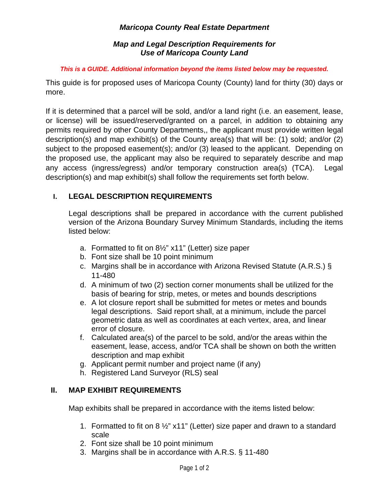## *Maricopa County Real Estate Department*

#### *Map and Legal Description Requirements for Use of Maricopa County Land*

#### *This is a GUIDE. Additional information beyond the items listed below may be requested.*

This guide is for proposed uses of Maricopa County (County) land for thirty (30) days or more.

If it is determined that a parcel will be sold, and/or a land right (i.e. an easement, lease, or license) will be issued/reserved/granted on a parcel, in addition to obtaining any permits required by other County Departments,, the applicant must provide written legal description(s) and map exhibit(s) of the County area(s) that will be: (1) sold; and/or (2) subject to the proposed easement(s); and/or (3) leased to the applicant. Depending on the proposed use, the applicant may also be required to separately describe and map any access (ingress/egress) and/or temporary construction area(s) (TCA). Legal description(s) and map exhibit(s) shall follow the requirements set forth below.

## **I. LEGAL DESCRIPTION REQUIREMENTS**

Legal descriptions shall be prepared in accordance with the current published version of the Arizona Boundary Survey Minimum Standards, including the items listed below:

- a. Formatted to fit on 8½" x11" (Letter) size paper
- b. Font size shall be 10 point minimum
- c. Margins shall be in accordance with Arizona Revised Statute (A.R.S.) § 11-480
- d. A minimum of two (2) section corner monuments shall be utilized for the basis of bearing for strip, metes, or metes and bounds descriptions
- e. A lot closure report shall be submitted for metes or metes and bounds legal descriptions. Said report shall, at a minimum, include the parcel geometric data as well as coordinates at each vertex, area, and linear error of closure.
- f. Calculated area(s) of the parcel to be sold, and/or the areas within the easement, lease, access, and/or TCA shall be shown on both the written description and map exhibit
- g. Applicant permit number and project name (if any)
- h. Registered Land Surveyor (RLS) seal

## **II. MAP EXHIBIT REQUIREMENTS**

Map exhibits shall be prepared in accordance with the items listed below:

- 1. Formatted to fit on 8 ½" x11" (Letter) size paper and drawn to a standard scale
- 2. Font size shall be 10 point minimum
- 3. Margins shall be in accordance with A.R.S. § 11-480